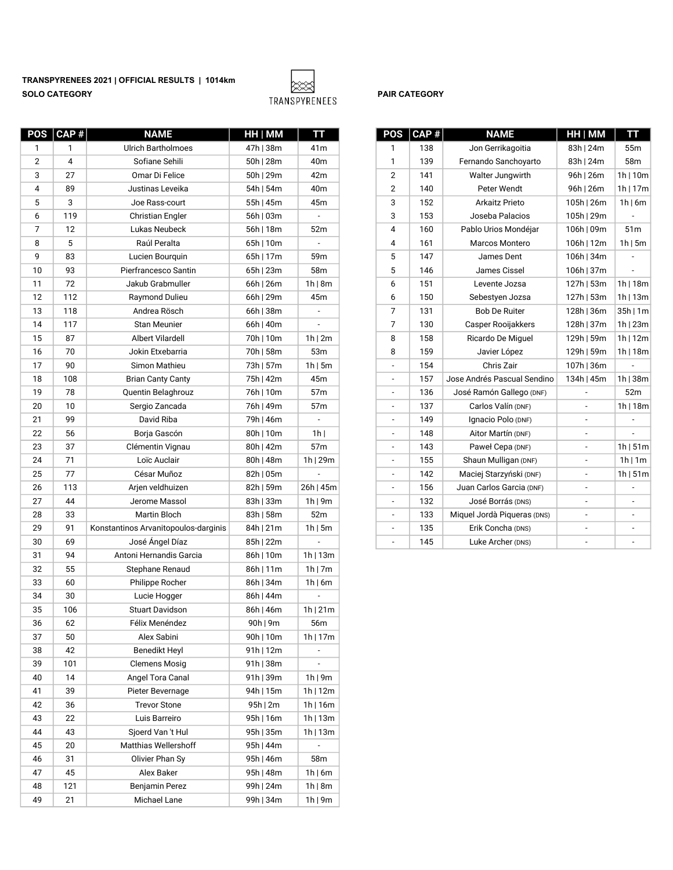TRANSPYRENEES 2021 | OFFICIAL RESULTS | 1014km SOLO CATEGORY DESCRIPTION OF TRANSPYRENEES PAIR CATEGORY



|                | POS   CAP # | <b>NAME</b>                          | HH   MM   | тт                       | POS                      | $ $ CAP $#$                 | <b>NAME</b>                 | HH   MM                  | TΤ                           |
|----------------|-------------|--------------------------------------|-----------|--------------------------|--------------------------|-----------------------------|-----------------------------|--------------------------|------------------------------|
| 1              | 1           | <b>Ulrich Bartholmoes</b>            | 47h   38m | 41m                      | 1                        | 138                         | Jon Gerrikagoitia           | 83h   24m                | 55m                          |
| $\overline{2}$ | 4           | Sofiane Sehili                       | 50h   28m | 40m                      | $\mathbf{1}$             | 139<br>Fernando Sanchoyarto |                             | 83h   24m                | 58m                          |
| 3              | 27          | Omar Di Felice                       | 50h   29m | 42m                      | $\overline{2}$           | 141                         | Walter Jungwirth            | 96h   26m                | 1h/10m                       |
| 4              | 89          | Justinas Leveika                     | 54h   54m | 40m                      | $\overline{2}$           | 140                         | Peter Wendt                 | 96h   26m                | 1h/17m                       |
| 5              | 3           | Joe Rass-court                       | 55h   45m | 45m                      | 3                        | 152                         | Arkaitz Prieto              | 105h   26m               | 1h/6m                        |
| 6              | 119         | <b>Christian Engler</b>              | 56h   03m | $\blacksquare$           | 3                        | 153                         | Joseba Palacios             | 105h   29m               | $\qquad \qquad \blacksquare$ |
| 7              | 12          | Lukas Neubeck                        | 56h   18m | 52m                      | 4                        | 160                         | Pablo Urios Mondéjar        | 106h   09m               | 51m                          |
| 8              | 5           | Raúl Peralta                         | 65h   10m | $\blacksquare$           | 4                        | 161                         | Marcos Montero              | 106h   12m               | 1h/5m                        |
| 9              | 83          | Lucien Bourquin                      | 65h   17m | 59m                      | 5                        | 147                         | James Dent                  | 106h   34m               | $\overline{\phantom{a}}$     |
| 10             | 93          | Pierfrancesco Santin                 | 65h   23m | 58m                      | 5                        | 146                         | James Cissel                | 106h   37m               | $\overline{\phantom{a}}$     |
| 11             | 72          | Jakub Grabmuller                     | 66h   26m | 1h/8m                    | 6                        | 151                         | Levente Jozsa               | 127h   53m               | 1h 18m                       |
| 12             | 112         | Raymond Dulieu                       | 66h   29m | 45m                      | 6                        | 150                         | Sebestyen Jozsa             | 127h   53m               | 1h/13m                       |
| 13             | 118         | Andrea Rösch                         | 66h   38m | $\overline{\phantom{a}}$ | $\boldsymbol{7}$         | 131                         | <b>Bob De Ruiter</b>        | 128h   36m               | 35h/1m                       |
| 14             | 117         | Stan Meunier                         | 66h   40m |                          | $\overline{7}$           | 130                         | Casper Rooijakkers          | 128h   37m               | 1h/23m                       |
| 15             | 87          | Albert Vilardell                     | 70h   10m | 1h/2m                    | 8                        | 158                         | Ricardo De Miguel           | 129h   59m               | 1h/12m                       |
| 16             | 70          | Jokin Etxebarria                     | 70h   58m | 53m                      | 8                        | 159                         | Javier López                | 129h   59m               | 1h/18m                       |
| 17             | 90          | Simon Mathieu                        | 73h   57m | $1h$   5m                | $\blacksquare$           | 154                         | Chris Zair                  | 107h   36m               |                              |
| 18             | 108         | <b>Brian Canty Canty</b>             | 75h   42m | 45m                      | $\overline{\phantom{a}}$ | 157                         | Jose Andrés Pascual Sendino | 134h   45m               | 1h/38m                       |
| 19             | 78          | Quentin Belaghrouz                   | 76h   10m | 57m                      | $\overline{\phantom{a}}$ | 136                         | José Ramón Gallego (DNF)    | $\overline{a}$           | 52m                          |
| 20             | 10          | Sergio Zancada                       | 76h   49m | 57m                      | $\overline{\phantom{a}}$ | 137                         | Carlos Valín (DNF)          | $\overline{\phantom{a}}$ | 1h/18m                       |
| 21             | 99          | David Riba                           | 79h   46m | $\overline{\phantom{a}}$ | $\overline{\phantom{a}}$ | 149                         | Ignacio Polo (DNF)          | $\overline{\phantom{a}}$ | $\overline{\phantom{a}}$     |
| 22             | 56          | Borja Gascón                         | 80h   10m | $1h$                     | $\overline{\phantom{a}}$ | 148                         | Aitor Martín (DNF)          | $\blacksquare$           | ÷,                           |
| 23             | 37          | Clémentin Vignau                     | 80h   42m | 57m                      | $\overline{\phantom{a}}$ | 143                         | Paweł Cepa (DNF)            | $\overline{\phantom{a}}$ | 1h/51m                       |
| 24             | $71$        | Loïc Auclair                         | 80h   48m | 1h/29m                   | $\overline{\phantom{a}}$ | 155                         | Shaun Mulligan (DNF)        | $\overline{\phantom{a}}$ | 1h 1m                        |
| 25             | 77          | César Muñoz                          | 82h   05m |                          | $\overline{\phantom{a}}$ | 142                         | Maciej Starzyński (DNF)     | $\overline{\phantom{a}}$ | 1h/51m                       |
| 26             | 113         | Arjen veldhuizen                     | 82h   59m | 26h   45m                | $\overline{\phantom{a}}$ | 156                         | Juan Carlos Garcia (DNF)    | $\blacksquare$           |                              |
| 27             | 44          | Jerome Massol                        | 83h   33m | 1h/9m                    | $\blacksquare$           | 132                         | José Borrás (DNS)           | ÷,                       | $\sim$                       |
| 28             | 33          | Martin Bloch                         | 83h   58m | 52m                      | $\overline{\phantom{a}}$ | 133                         | Miquel Jordà Piqueras (DNS) | ä,                       | $\overline{\phantom{a}}$     |
| 29             | 91          | Konstantinos Arvanitopoulos-darginis | 84h   21m | $1h$   5m                | $\overline{\phantom{a}}$ | 135                         | Erik Concha (DNS)           | ÷,                       | $\blacksquare$               |
| 30             | 69          | José Ángel Díaz                      | 85h   22m |                          | $\overline{\phantom{a}}$ | 145                         | Luke Archer (DNS)           |                          |                              |
| 31             | 94          | Antoni Hernandis Garcia              | 86h   10m | $1h$   13m               |                          |                             |                             |                          |                              |
| 32             | 55          | Stephane Renaud                      | 86h   11m | 1h/7m                    |                          |                             |                             |                          |                              |
| 33             | 60          | Philippe Rocher                      | 86h   34m | 1h/6m                    |                          |                             |                             |                          |                              |
| 34             | 30          | Lucie Hogger                         | 86h   44m |                          |                          |                             |                             |                          |                              |
| 35             | 106         | <b>Stuart Davidson</b>               | 86h   46m | 1h/21m                   |                          |                             |                             |                          |                              |
| 36             | 62          | Félix Menéndez                       | 90h   9m  | 56m                      |                          |                             |                             |                          |                              |
| 37             | 50          | Alex Sabini                          | 90h   10m | 1h/17m                   |                          |                             |                             |                          |                              |
| 38             | 42          | <b>Benedikt Heyl</b>                 | 91h   12m | $\overline{\phantom{a}}$ |                          |                             |                             |                          |                              |
| 39             | 101         | <b>Clemens Mosig</b>                 | 91h   38m | ٠                        |                          |                             |                             |                          |                              |
| 40             | 14          | Angel Tora Canal                     | 91h   39m | 1h/9m                    |                          |                             |                             |                          |                              |
| 41             | 39          | Pieter Bevernage                     | 94h   15m | 1h/12m                   |                          |                             |                             |                          |                              |
| 42             | 36          | <b>Trevor Stone</b>                  | 95h/2m    | 1h/16m                   |                          |                             |                             |                          |                              |
| 43             | 22          | Luis Barreiro                        | 95h   16m | 1h/13m                   |                          |                             |                             |                          |                              |
| 44             | 43          | Sjoerd Van 't Hul                    | 95h   35m | 1h/13m                   |                          |                             |                             |                          |                              |
| 45             | 20          | Matthias Wellershoff                 | 95h   44m |                          |                          |                             |                             |                          |                              |
| 46             | 31          | Olivier Phan Sy                      | 95h   46m | 58m                      |                          |                             |                             |                          |                              |
| 47             | 45          | Alex Baker                           | 95h   48m | 1h/6m                    |                          |                             |                             |                          |                              |
| 48             | 121         | Benjamin Perez                       | 99h   24m | 1h   8m                  |                          |                             |                             |                          |                              |
| 49             | 21          | Michael Lane                         | 99h   34m | 1h/9m                    |                          |                             |                             |                          |                              |

| <b>POS</b>               | CAP# | <b>NAME</b>                  | HH   MM    | TΤ              |
|--------------------------|------|------------------------------|------------|-----------------|
| 1                        | 138  | Jon Gerrikagoitia            | 83h   24m  | 55m             |
| 1                        | 139  | Fernando Sanchoyarto         | 83h   24m  | 58m             |
| $\overline{2}$           | 141  | Walter Jungwirth             | 96h   26m  | 1h/10m          |
| $\overline{2}$           | 140  | Peter Wendt                  | 96h   26m  | 1h/17m          |
| 3                        | 152  | Arkaitz Prieto               | 105h   26m | 1h/6m           |
| 3                        | 153  | Joseba Palacios              | 105h   29m |                 |
| 4                        | 160  | Pablo Urios Mondéjar         | 106h   09m | 51 <sub>m</sub> |
| 4                        | 161  | Marcos Montero               | 106h   12m | $1h$   5m       |
| 5                        | 147  | James Dent                   | 106h   34m |                 |
| 5                        | 146  | James Cissel                 | 106h   37m |                 |
| 6                        | 151  | Levente Jozsa                | 127h   53m | 1h/18m          |
| 6                        | 150  | Sebestyen Jozsa              | 127h   53m | 1h/13m          |
| 7                        | 131  | <b>Bob De Ruiter</b>         | 128h   36m | 35h/1m          |
| 7                        | 130  | Casper Rooijakkers           | 128h   37m | 1h/23m          |
| 8                        | 158  | Ricardo De Miquel            | 129h   59m | 1h/12m          |
| 8                        | 159  | Javier López                 | 129h   59m | 1h/18m          |
| ÷,                       | 154  | Chris Zair                   | 107h   36m |                 |
| $\overline{\phantom{m}}$ | 157  | Jose Andrés Pascual Sendino  | 134h   45m | 1h/38m          |
|                          | 136  | José Ramón Gallego (DNF)     |            | 52m             |
| $\frac{1}{2}$            | 137  | Carlos Valín (DNF)           |            | 1h/18m          |
| $\frac{1}{2}$            | 149  | Ignacio Polo (DNF)           | -          |                 |
|                          | 148  | Aitor Martín (DNF)           |            |                 |
| -                        | 143  | Paweł Cepa (DNF)             | -          | 1h/51m          |
|                          | 155  | Shaun Mulligan (DNF)         |            | 1h/1m           |
| -                        | 142  | Maciej Starzyński (DNF)      |            | 1h/51m          |
| $\overline{\phantom{m}}$ | 156  | Juan Carlos Garcia (DNF)     | -          |                 |
| $\overline{\phantom{0}}$ | 132  | José Borrás (DNS)            | -          |                 |
|                          | 133  | Miquel Jordà Piqueras (DNS)  |            |                 |
| ÷                        | 135  | Erik Concha (DNS)            | -          |                 |
|                          | 145  | $L$ uke $\Delta$ rcher (DNS) |            |                 |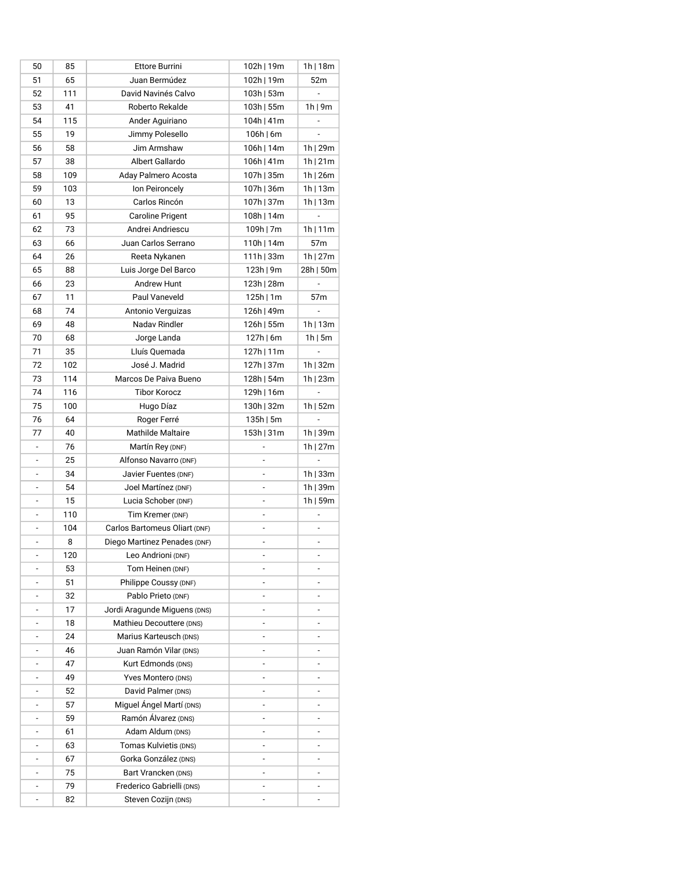| 50                       | 85  | Ettore Burrini                | 102h   19m    | 1h/18m                   |
|--------------------------|-----|-------------------------------|---------------|--------------------------|
| 51                       | 65  | Juan Bermúdez                 | 102h   19m    | 52m                      |
| 52                       | 111 | David Navinés Calvo           | 103h   53m    | ä,                       |
| 53                       | 41  | Roberto Rekalde               | 103h   55m    | 1h/9m                    |
| 54                       | 115 | Ander Aguiriano               | 104h   41m    |                          |
| 55                       | 19  | Jimmy Polesello               | $106h$   6m   |                          |
| 56                       | 58  | Jim Armshaw                   | 106h   14m    | 1h/29m                   |
| 57                       | 38  | Albert Gallardo               | 106h   41m    | 1h/21m                   |
| 58                       | 109 | Aday Palmero Acosta           | 107h   35m    | 1h/26m                   |
| 59                       | 103 | Ion Peironcely                | 107h   36m    | 1h/13m                   |
| 60                       | 13  | Carlos Rincón                 | 107h   37m    | 1h   13m                 |
| 61                       | 95  | Caroline Prigent              | 108h   14m    |                          |
| 62                       | 73  | Andrei Andriescu              | $109h$   7m   | 1h/11m                   |
| 63                       | 66  | Juan Carlos Serrano           | 110h   14m    | 57 <sub>m</sub>          |
| 64                       | 26  | Reeta Nykanen                 | $111h$   33m  | 1h/27m                   |
| 65                       | 88  | Luis Jorge Del Barco          | $123h$   9m   | 28h   50m                |
| 66                       | 23  | Andrew Hunt                   | 123h   28m    |                          |
| 67                       | 11  | Paul Vaneveld                 | $125h$   1m   | 57 <sub>m</sub>          |
| 68                       | 74  | Antonio Verguizas             | 126h   49m    |                          |
|                          | 48  | Nadav Rindler                 |               |                          |
| 69                       |     |                               | 126h   55m    | 1h   13m                 |
| 70                       | 68  | Jorge Landa                   | $127h$   6m   | $1h$   5m                |
| 71                       | 35  | Lluís Quemada                 | 127h   11m    |                          |
| 72                       | 102 | José J. Madrid                | 127h   37m    | 1h/32m                   |
| 73                       | 114 | Marcos De Paiva Bueno         | 128h   54m    | 1h   23m                 |
| 74                       | 116 | <b>Tibor Korocz</b>           | 129h   16m    |                          |
| 75                       | 100 | Hugo Díaz                     | 130h   32m    | 1h   52m                 |
| 76                       | 64  | Roger Ferré                   | $135h$   5m   | ä,                       |
| 77                       | 40  | Mathilde Maltaire             | 153h   31m    | 1h   39m                 |
| ÷,                       | 76  | Martín Rey (DNF)              |               | 1h   27m                 |
| $\overline{a}$           | 25  | Alfonso Navarro (DNF)         | ÷.            | ä,                       |
| $\frac{1}{2}$            | 34  | Javier Fuentes (DNF)          | ÷,            | 1h/33m                   |
|                          | 54  | Joel Martínez (DNF)           | ÷,            | 1h/39m                   |
|                          | 15  | Lucia Schober (DNF)           |               | 1h/59m                   |
|                          | 110 | Tim Kremer (DNF)              |               |                          |
|                          | 104 | Carlos Bartomeus Oliart (DNF) |               |                          |
| $\frac{1}{2}$            | 8   | Diego Martinez Penades (DNF)  | ÷,            | $\overline{\phantom{a}}$ |
| -                        | 120 | Leo Andrioni (DNF)            |               | -                        |
| ÷,                       | 53  | Tom Heinen (DNF)              | ÷,            | ÷,                       |
| -                        | 51  | Philippe Coussy (DNF)         | $\frac{1}{2}$ | $\blacksquare$           |
| ۰                        | 32  | Pablo Prieto (DNF)            | $\frac{1}{2}$ | $\overline{\phantom{a}}$ |
| ۰                        | 17  | Jordi Aragunde Miguens (DNS)  | ۰             |                          |
| ۰                        | 18  | Mathieu Decouttere (DNS)      | ÷,            |                          |
| ۰                        | 24  | Marius Karteusch (DNS)        | ÷,            | $\overline{\phantom{a}}$ |
| ۰                        | 46  | Juan Ramón Vilar (DNS)        | ä,            | ٠                        |
| $\overline{\phantom{m}}$ | 47  | Kurt Edmonds (DNS)            | ÷,            |                          |
| ÷,                       | 49  | Yves Montero (DNS)            | ÷,            |                          |
| ÷,                       | 52  | David Palmer (DNS)            | ÷,            | ÷,                       |
| ÷,                       | 57  | Miguel Ángel Martí (DNS)      | ÷,            |                          |
|                          | 59  | Ramón Álvarez (DNS)           |               |                          |
| $\overline{\phantom{a}}$ | 61  | Adam Aldum (DNS)              | ÷,            |                          |
| $\overline{\phantom{0}}$ | 63  | Tomas Kulvietis (DNS)         | ٠             |                          |
| ÷,                       | 67  | Gorka González (DNS)          | ÷,            |                          |
| ÷,                       | 75  | Bart Vrancken (DNS)           |               |                          |
|                          | 79  | Frederico Gabrielli (DNS)     |               |                          |
| $\frac{1}{2}$            | 82  | Steven Cozijn (DNS)           | ÷,            |                          |
|                          |     |                               |               |                          |